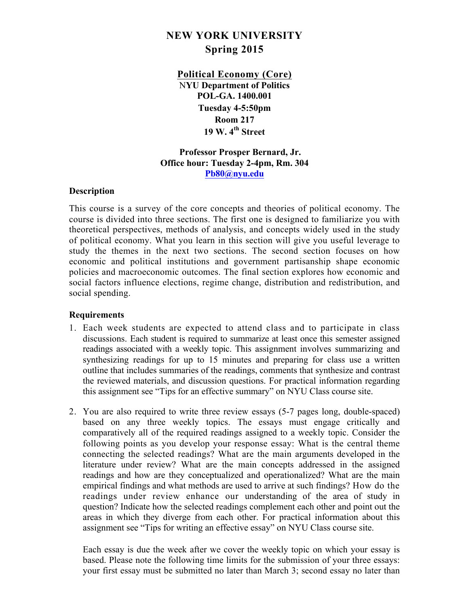# **NEW YORK UNIVERSITY Spring 2015**

**Political Economy (Core)** N**YU Department of Politics POL-GA. 1400.001 Tuesday 4-5:50pm Room 217 19 W. 4th Street**

 **Professor Prosper Bernard, Jr. Office hour: Tuesday 2-4pm, Rm. 304 Pb80@nyu.edu**

## **Description**

This course is a survey of the core concepts and theories of political economy. The course is divided into three sections. The first one is designed to familiarize you with theoretical perspectives, methods of analysis, and concepts widely used in the study of political economy. What you learn in this section will give you useful leverage to study the themes in the next two sections. The second section focuses on how economic and political institutions and government partisanship shape economic policies and macroeconomic outcomes. The final section explores how economic and social factors influence elections, regime change, distribution and redistribution, and social spending.

## **Requirements**

- 1. Each week students are expected to attend class and to participate in class discussions. Each student is required to summarize at least once this semester assigned readings associated with a weekly topic. This assignment involves summarizing and synthesizing readings for up to 15 minutes and preparing for class use a written outline that includes summaries of the readings, comments that synthesize and contrast the reviewed materials, and discussion questions. For practical information regarding this assignment see "Tips for an effective summary" on NYU Class course site.
- 2. You are also required to write three review essays (5-7 pages long, double-spaced) based on any three weekly topics. The essays must engage critically and comparatively all of the required readings assigned to a weekly topic. Consider the following points as you develop your response essay: What is the central theme connecting the selected readings? What are the main arguments developed in the literature under review? What are the main concepts addressed in the assigned readings and how are they conceptualized and operationalized? What are the main empirical findings and what methods are used to arrive at such findings? How do the readings under review enhance our understanding of the area of study in question? Indicate how the selected readings complement each other and point out the areas in which they diverge from each other. For practical information about this assignment see "Tips for writing an effective essay" on NYU Class course site.

Each essay is due the week after we cover the weekly topic on which your essay is based. Please note the following time limits for the submission of your three essays: your first essay must be submitted no later than March 3; second essay no later than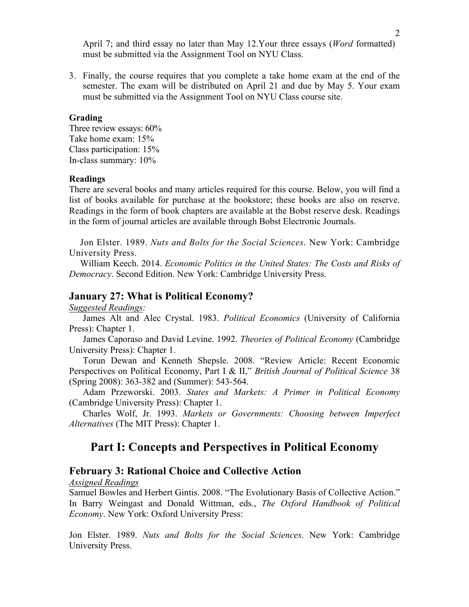April 7; and third essay no later than May 12.Your three essays (*Word* formatted) must be submitted via the Assignment Tool on NYU Class.

3. Finally, the course requires that you complete a take home exam at the end of the semester. The exam will be distributed on April 21 and due by May 5. Your exam must be submitted via the Assignment Tool on NYU Class course site.

#### **Grading**

Three review essays: 60% Take home exam: 15% Class participation: 15% In-class summary: 10%

#### **Readings**

There are several books and many articles required for this course. Below, you will find a list of books available for purchase at the bookstore; these books are also on reserve. Readings in the form of book chapters are available at the Bobst reserve desk. Readings in the form of journal articles are available through Bobst Electronic Journals.

Jon Elster. 1989. *Nuts and Bolts for the Social Sciences*. New York: Cambridge University Press.

William Keech. 2014. *Economic Politics in the United States: The Costs and Risks of Democracy*. Second Edition. New York: Cambridge University Press.

#### **January 27: What is Political Economy?**

*Suggested Readings:*

James Alt and Alec Crystal. 1983. *Political Economics* (University of California Press): Chapter 1.

 James Caporaso and David Levine. 1992. *Theories of Political Economy* (Cambridge University Press): Chapter 1.

 Torun Dewan and Kenneth Shepsle. 2008. "Review Article: Recent Economic Perspectives on Political Economy, Part I & II," *British Journal of Political Science* 38 (Spring 2008): 363-382 and (Summer): 543-564.

Adam Przeworski. 2003. *States and Markets: A Primer in Political Economy* (Cambridge University Press): Chapter 1.

Charles Wolf, Jr. 1993. *Markets or Governments: Choosing between Imperfect Alternatives* (The MIT Press): Chapter 1.

# **Part I: Concepts and Perspectives in Political Economy**

### **February 3: Rational Choice and Collective Action**

*Assigned Readings*

Samuel Bowles and Herbert Gintis. 2008. "The Evolutionary Basis of Collective Action." In Barry Weingast and Donald Wittman, eds., *The Oxford Handbook of Political Economy*. New York: Oxford University Press:

Jon Elster. 1989. *Nuts and Bolts for the Social Sciences*. New York: Cambridge University Press.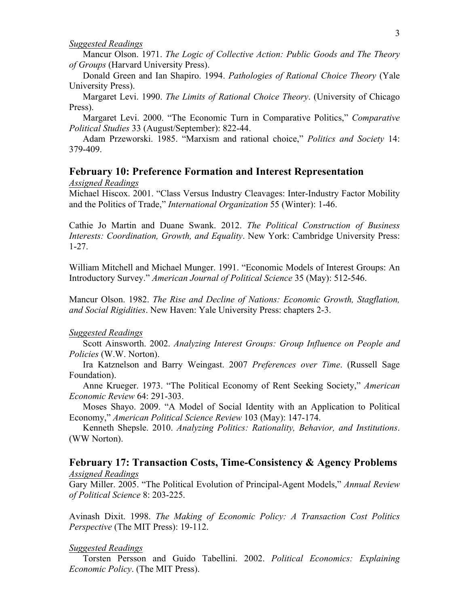#### *Suggested Readings*

Mancur Olson. 1971. *The Logic of Collective Action: Public Goods and The Theory of Groups* (Harvard University Press).

Donald Green and Ian Shapiro. 1994. *Pathologies of Rational Choice Theory* (Yale University Press).

Margaret Levi. 1990. *The Limits of Rational Choice Theory*. (University of Chicago Press).

Margaret Levi. 2000. "The Economic Turn in Comparative Politics," *Comparative Political Studies* 33 (August/September): 822-44.

Adam Przeworski. 1985. "Marxism and rational choice," *Politics and Society* 14: 379-409.

## **February 10: Preference Formation and Interest Representation**

*Assigned Readings*

Michael Hiscox. 2001. "Class Versus Industry Cleavages: Inter-Industry Factor Mobility and the Politics of Trade," *International Organization* 55 (Winter): 1-46.

Cathie Jo Martin and Duane Swank. 2012. *The Political Construction of Business Interests: Coordination, Growth, and Equality*. New York: Cambridge University Press: 1-27.

William Mitchell and Michael Munger. 1991. "Economic Models of Interest Groups: An Introductory Survey." *American Journal of Political Science* 35 (May): 512-546.

Mancur Olson. 1982. *The Rise and Decline of Nations: Economic Growth, Stagflation, and Social Rigidities*. New Haven: Yale University Press: chapters 2-3.

#### *Suggested Readings*

Scott Ainsworth. 2002. *Analyzing Interest Groups: Group Influence on People and Policies* (W.W. Norton).

Ira Katznelson and Barry Weingast. 2007 *Preferences over Time*. (Russell Sage Foundation).

Anne Krueger. 1973. "The Political Economy of Rent Seeking Society," *American Economic Review* 64: 291-303.

Moses Shayo. 2009. "A Model of Social Identity with an Application to Political Economy," *American Political Science Review* 103 (May): 147-174.

Kenneth Shepsle. 2010. *Analyzing Politics: Rationality, Behavior, and Institutions*. (WW Norton).

## **February 17: Transaction Costs, Time-Consistency & Agency Problems** *Assigned Readings*

Gary Miller. 2005. "The Political Evolution of Principal-Agent Models," *Annual Review of Political Science* 8: 203-225.

Avinash Dixit. 1998. *The Making of Economic Policy: A Transaction Cost Politics Perspective* (The MIT Press): 19-112.

#### *Suggested Readings*

Torsten Persson and Guido Tabellini. 2002. *Political Economics: Explaining Economic Policy*. (The MIT Press).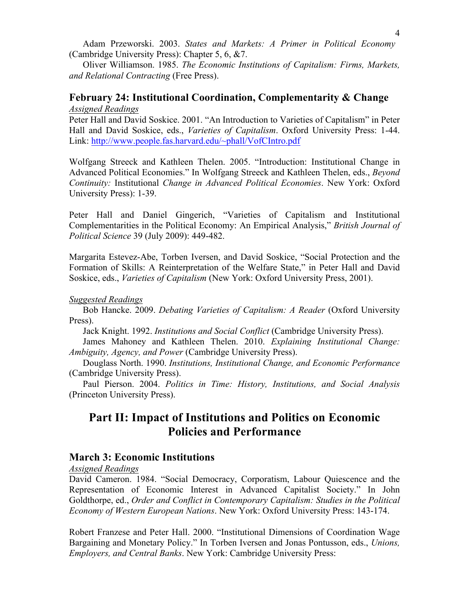Adam Przeworski. 2003. *States and Markets: A Primer in Political Economy* (Cambridge University Press): Chapter 5, 6, &7.

Oliver Williamson. 1985. *The Economic Institutions of Capitalism: Firms, Markets, and Relational Contracting* (Free Press).

# **February 24: Institutional Coordination, Complementarity & Change**  *Assigned Readings*

Peter Hall and David Soskice. 2001. "An Introduction to Varieties of Capitalism" in Peter Hall and David Soskice, eds., *Varieties of Capitalism*. Oxford University Press: 1-44. Link: http://www.people.fas.harvard.edu/~phall/VofCIntro.pdf

Wolfgang Streeck and Kathleen Thelen. 2005. "Introduction: Institutional Change in Advanced Political Economies." In Wolfgang Streeck and Kathleen Thelen, eds., *Beyond Continuity:* Institutional *Change in Advanced Political Economies*. New York: Oxford University Press): 1-39.

Peter Hall and Daniel Gingerich, "Varieties of Capitalism and Institutional Complementarities in the Political Economy: An Empirical Analysis," *British Journal of Political Science* 39 (July 2009): 449-482.

Margarita Estevez-Abe, Torben Iversen, and David Soskice, "Social Protection and the Formation of Skills: A Reinterpretation of the Welfare State," in Peter Hall and David Soskice, eds., *Varieties of Capitalism* (New York: Oxford University Press, 2001).

### *Suggested Readings*

Bob Hancke. 2009. *Debating Varieties of Capitalism: A Reader* (Oxford University Press).

Jack Knight. 1992. *Institutions and Social Conflict* (Cambridge University Press).

James Mahoney and Kathleen Thelen. 2010. *Explaining Institutional Change: Ambiguity, Agency, and Power* (Cambridge University Press).

Douglass North. 1990. *Institutions, Institutional Change, and Economic Performance* (Cambridge University Press).

Paul Pierson. 2004. *Politics in Time: History, Institutions, and Social Analysis* (Princeton University Press).

# **Part II: Impact of Institutions and Politics on Economic Policies and Performance**

## **March 3: Economic Institutions**

*Assigned Readings*

David Cameron. 1984. "Social Democracy, Corporatism, Labour Quiescence and the Representation of Economic Interest in Advanced Capitalist Society." In John Goldthorpe, ed., *Order and Conflict in Contemporary Capitalism: Studies in the Political Economy of Western European Nations*. New York: Oxford University Press: 143-174.

Robert Franzese and Peter Hall. 2000. "Institutional Dimensions of Coordination Wage Bargaining and Monetary Policy." In Torben Iversen and Jonas Pontusson, eds., *Unions, Employers, and Central Banks*. New York: Cambridge University Press: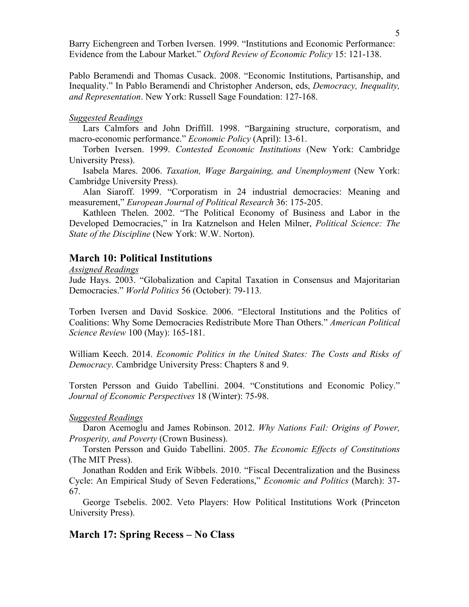Barry Eichengreen and Torben Iversen. 1999. "Institutions and Economic Performance: Evidence from the Labour Market." *Oxford Review of Economic Policy* 15: 121-138.

Pablo Beramendi and Thomas Cusack. 2008. "Economic Institutions, Partisanship, and Inequality." In Pablo Beramendi and Christopher Anderson, eds, *Democracy, Inequality, and Representation*. New York: Russell Sage Foundation: 127-168.

#### *Suggested Readings*

Lars Calmfors and John Driffill. 1998. "Bargaining structure, corporatism, and macro-economic performance." *Economic Policy* (April): 13-61.

Torben Iversen. 1999. *Contested Economic Institutions* (New York: Cambridge University Press).

Isabela Mares. 2006. *Taxation, Wage Bargaining, and Unemployment* (New York: Cambridge University Press).

Alan Siaroff. 1999. "Corporatism in 24 industrial democracies: Meaning and measurement," *European Journal of Political Research* 36: 175-205.

 Kathleen Thelen. 2002. "The Political Economy of Business and Labor in the Developed Democracies," in Ira Katznelson and Helen Milner, *Political Science: The State of the Discipline* (New York: W.W. Norton).

### **March 10: Political Institutions**

*Assigned Readings*

Jude Hays. 2003. "Globalization and Capital Taxation in Consensus and Majoritarian Democracies." *World Politics* 56 (October): 79-113.

Torben Iversen and David Soskice. 2006. "Electoral Institutions and the Politics of Coalitions: Why Some Democracies Redistribute More Than Others." *American Political Science Review* 100 (May): 165-181.

William Keech. 2014. *Economic Politics in the United States: The Costs and Risks of Democracy*. Cambridge University Press: Chapters 8 and 9.

Torsten Persson and Guido Tabellini. 2004. "Constitutions and Economic Policy." *Journal of Economic Perspectives* 18 (Winter): 75-98.

## *Suggested Readings*

Daron Acemoglu and James Robinson. 2012. *Why Nations Fail: Origins of Power, Prosperity, and Poverty* (Crown Business).

Torsten Persson and Guido Tabellini. 2005. *The Economic Effects of Constitutions* (The MIT Press).

Jonathan Rodden and Erik Wibbels. 2010. "Fiscal Decentralization and the Business Cycle: An Empirical Study of Seven Federations," *Economic and Politics* (March): 37- 67.

George Tsebelis. 2002. Veto Players: How Political Institutions Work (Princeton University Press).

## **March 17: Spring Recess – No Class**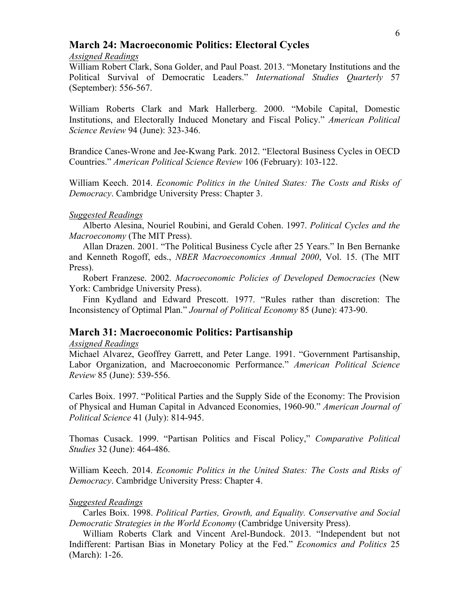## **March 24: Macroeconomic Politics: Electoral Cycles**

#### *Assigned Readings*

William Robert Clark, Sona Golder, and Paul Poast. 2013. "Monetary Institutions and the Political Survival of Democratic Leaders." *International Studies Quarterly* 57 (September): 556-567.

William Roberts Clark and Mark Hallerberg. 2000. "Mobile Capital, Domestic Institutions, and Electorally Induced Monetary and Fiscal Policy." *American Political Science Review* 94 (June): 323-346.

Brandice Canes-Wrone and Jee-Kwang Park. 2012. "Electoral Business Cycles in OECD Countries." *American Political Science Review* 106 (February): 103-122.

William Keech. 2014. *Economic Politics in the United States: The Costs and Risks of Democracy*. Cambridge University Press: Chapter 3.

#### *Suggested Readings*

Alberto Alesina, Nouriel Roubini, and Gerald Cohen. 1997. *Political Cycles and the Macroeconomy* (The MIT Press).

Allan Drazen. 2001. "The Political Business Cycle after 25 Years." In Ben Bernanke and Kenneth Rogoff, eds., *NBER Macroeconomics Annual 2000*, Vol. 15. (The MIT Press).

Robert Franzese. 2002. *Macroeconomic Policies of Developed Democracies* (New York: Cambridge University Press).

Finn Kydland and Edward Prescott. 1977. "Rules rather than discretion: The Inconsistency of Optimal Plan." *Journal of Political Economy* 85 (June): 473-90.

# **March 31: Macroeconomic Politics: Partisanship**

#### *Assigned Readings*

Michael Alvarez, Geoffrey Garrett, and Peter Lange. 1991. "Government Partisanship, Labor Organization, and Macroeconomic Performance." *American Political Science Review* 85 (June): 539-556.

Carles Boix. 1997. "Political Parties and the Supply Side of the Economy: The Provision of Physical and Human Capital in Advanced Economies, 1960-90." *American Journal of Political Science* 41 (July): 814-945.

Thomas Cusack. 1999. "Partisan Politics and Fiscal Policy," *Comparative Political Studies* 32 (June): 464-486.

William Keech. 2014. *Economic Politics in the United States: The Costs and Risks of Democracy*. Cambridge University Press: Chapter 4.

#### *Suggested Readings*

Carles Boix. 1998. *Political Parties, Growth, and Equality. Conservative and Social Democratic Strategies in the World Economy* (Cambridge University Press).

William Roberts Clark and Vincent Arel-Bundock. 2013. "Independent but not Indifferent: Partisan Bias in Monetary Policy at the Fed." *Economics and Politics* 25 (March): 1-26.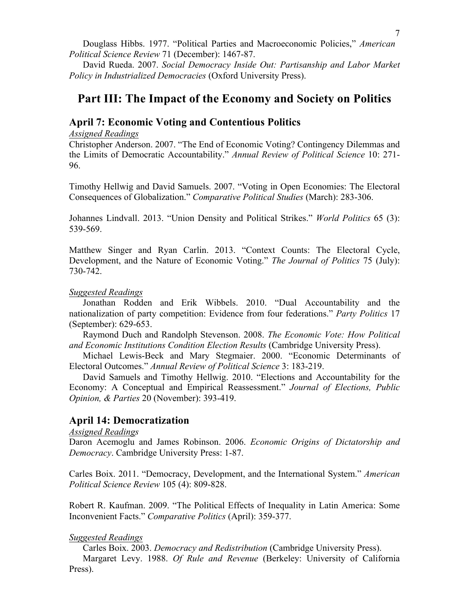Douglass Hibbs. 1977. "Political Parties and Macroeconomic Policies," *American Political Science Review* 71 (December): 1467-87.

David Rueda. 2007. *Social Democracy Inside Out: Partisanship and Labor Market Policy in Industrialized Democracies* (Oxford University Press).

# **Part III: The Impact of the Economy and Society on Politics**

# **April 7: Economic Voting and Contentious Politics**

*Assigned Readings*

Christopher Anderson. 2007. "The End of Economic Voting? Contingency Dilemmas and the Limits of Democratic Accountability." *Annual Review of Political Science* 10: 271- 96.

Timothy Hellwig and David Samuels. 2007. "Voting in Open Economies: The Electoral Consequences of Globalization." *Comparative Political Studies* (March): 283-306.

Johannes Lindvall. 2013. "Union Density and Political Strikes." *World Politics* 65 (3): 539-569.

Matthew Singer and Ryan Carlin. 2013. "Context Counts: The Electoral Cycle, Development, and the Nature of Economic Voting." *The Journal of Politics* 75 (July): 730-742.

## *Suggested Readings*

Jonathan Rodden and Erik Wibbels. 2010. "Dual Accountability and the nationalization of party competition: Evidence from four federations." *Party Politics* 17 (September): 629-653.

Raymond Duch and Randolph Stevenson. 2008. *The Economic Vote: How Political and Economic Institutions Condition Election Results* (Cambridge University Press).

Michael Lewis-Beck and Mary Stegmaier. 2000. "Economic Determinants of Electoral Outcomes." *Annual Review of Political Science* 3: 183-219.

David Samuels and Timothy Hellwig. 2010. "Elections and Accountability for the Economy: A Conceptual and Empirical Reassessment." *Journal of Elections, Public Opinion, & Parties* 20 (November): 393-419.

# **April 14: Democratization**

*Assigned Readings*

Daron Acemoglu and James Robinson. 2006. *Economic Origins of Dictatorship and Democracy*. Cambridge University Press: 1-87.

Carles Boix. 2011. "Democracy, Development, and the International System." *American Political Science Review* 105 (4): 809-828.

Robert R. Kaufman. 2009. "The Political Effects of Inequality in Latin America: Some Inconvenient Facts." *Comparative Politics* (April): 359-377.

## *Suggested Readings*

Carles Boix. 2003. *Democracy and Redistribution* (Cambridge University Press). Margaret Levy. 1988. *Of Rule and Revenue* (Berkeley: University of California Press).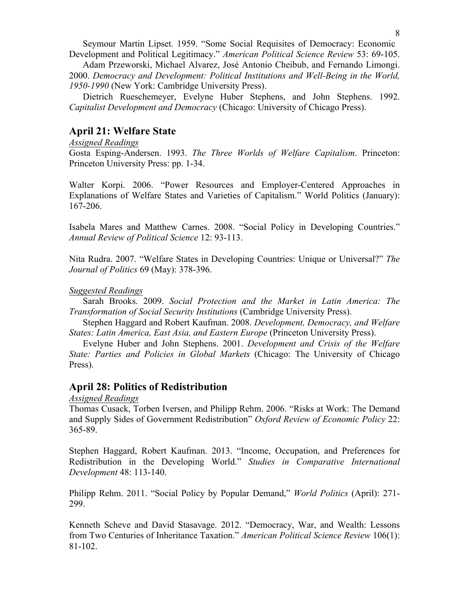Seymour Martin Lipset. 1959. "Some Social Requisites of Democracy: Economic Development and Political Legitimacy." *American Political Science Review* 53: 69-105.

Adam Przeworski, Michael Alvarez, José Antonio Cheibub, and Fernando Limongi. 2000. *Democracy and Development: Political Institutions and Well-Being in the World, 1950-1990* (New York: Cambridge University Press).

 Dietrich Rueschemeyer, Evelyne Huber Stephens, and John Stephens. 1992. *Capitalist Development and Democracy* (Chicago: University of Chicago Press).

# **April 21: Welfare State**

## *Assigned Readings*

Gosta Esping-Andersen. 1993. *The Three Worlds of Welfare Capitalism*. Princeton: Princeton University Press: pp. 1-34.

Walter Korpi. 2006. "Power Resources and Employer-Centered Approaches in Explanations of Welfare States and Varieties of Capitalism." World Politics (January): 167-206.

Isabela Mares and Matthew Carnes. 2008. "Social Policy in Developing Countries." *Annual Review of Political Science* 12: 93-113.

Nita Rudra. 2007. "Welfare States in Developing Countries: Unique or Universal?" *The Journal of Politics* 69 (May): 378-396.

#### *Suggested Readings*

Sarah Brooks. 2009. *Social Protection and the Market in Latin America: The Transformation of Social Security Institutions* (Cambridge University Press).

Stephen Haggard and Robert Kaufman. 2008. *Development, Democracy, and Welfare States: Latin America, East Asia, and Eastern Europe* (Princeton University Press).

 Evelyne Huber and John Stephens. 2001. *Development and Crisis of the Welfare State: Parties and Policies in Global Markets* (Chicago: The University of Chicago Press).

## **April 28: Politics of Redistribution**

*Assigned Readings*

Thomas Cusack, Torben Iversen, and Philipp Rehm. 2006. "Risks at Work: The Demand and Supply Sides of Government Redistribution" *Oxford Review of Economic Policy* 22: 365-89.

Stephen Haggard, Robert Kaufman. 2013. "Income, Occupation, and Preferences for Redistribution in the Developing World." *Studies in Comparative International Development* 48: 113-140.

Philipp Rehm. 2011. "Social Policy by Popular Demand," *World Politics* (April): 271- 299.

Kenneth Scheve and David Stasavage. 2012. "Democracy, War, and Wealth: Lessons from Two Centuries of Inheritance Taxation." *American Political Science Review* 106(1): 81-102.